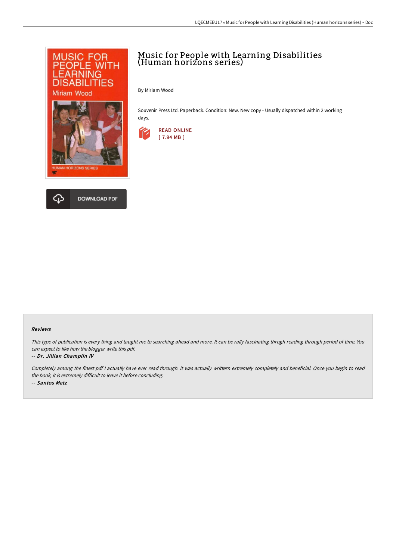

DOWNLOAD PDF

# Music for People with Learning Disabilities (Human horizons series)

By Miriam Wood

Souvenir Press Ltd. Paperback. Condition: New. New copy - Usually dispatched within 2 working days.





This type of publication is every thing and taught me to searching ahead and more. It can be rally fascinating throgh reading through period of time. You can expect to like how the blogger write this pdf.

#### -- Dr. Jillian Champlin IV

Completely among the finest pdf <sup>I</sup> actually have ever read through. it was actually writtern extremely completely and beneficial. Once you begin to read the book, it is extremely difficult to leave it before concluding. -- Santos Metz